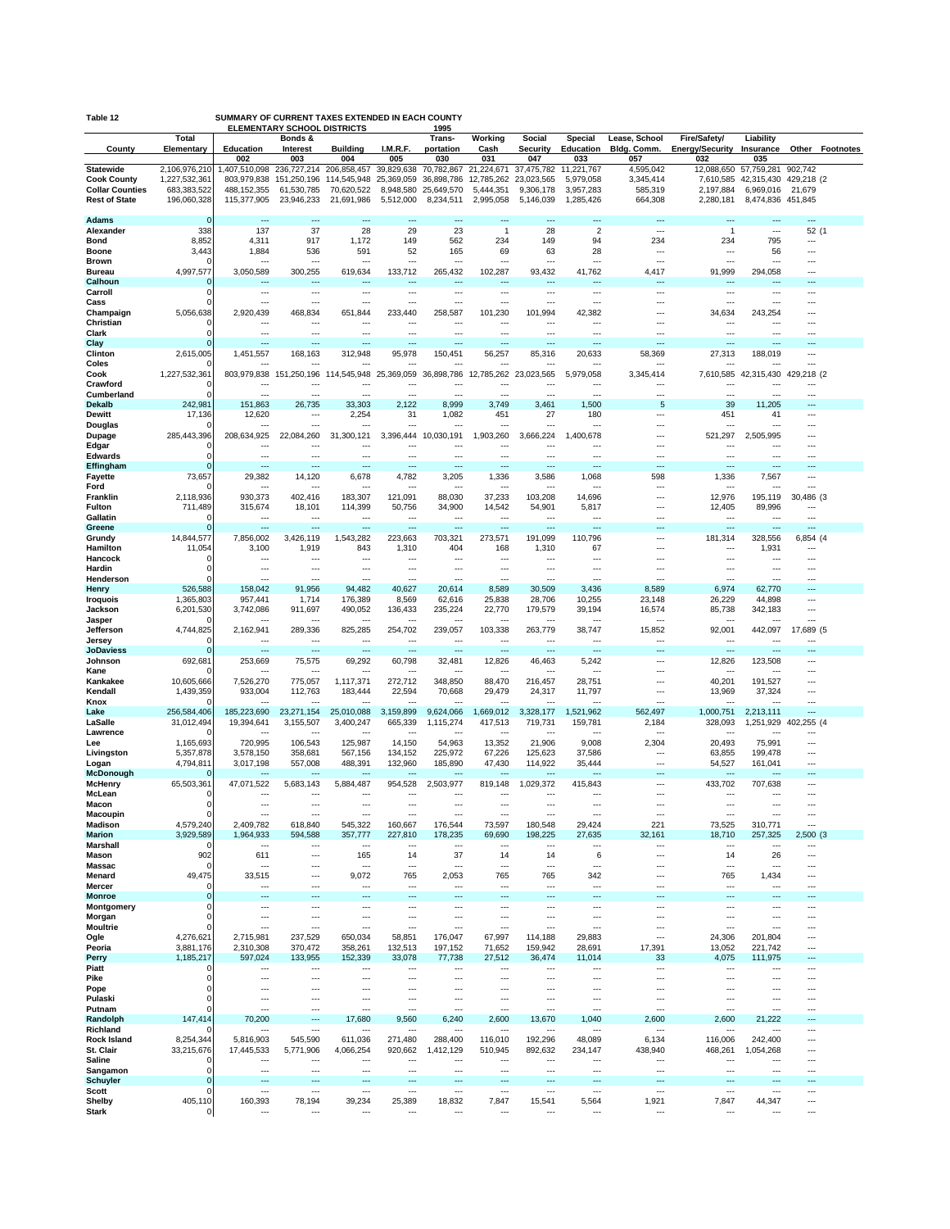| Table 12<br>SUMMARY OF CURRENT TAXES EXTENDED IN EACH COUNTY<br><b>ELEMENTARY SCHOOL DISTRICTS</b><br>1995 |                              |                                     |                                     |                                    |                         |                          |                                    |                          |                         |                                 |                                 |                                    |                                 |
|------------------------------------------------------------------------------------------------------------|------------------------------|-------------------------------------|-------------------------------------|------------------------------------|-------------------------|--------------------------|------------------------------------|--------------------------|-------------------------|---------------------------------|---------------------------------|------------------------------------|---------------------------------|
|                                                                                                            | Total                        |                                     | Bonds &                             |                                    |                         | Trans-                   | Working                            | Social                   | Special                 | Lease, School                   | Fire/Safety/                    | Liability                          |                                 |
| County                                                                                                     | Elementary                   | Education<br>002                    | Interest<br>003                     | <b>Building</b><br>004             | I.M.R.F.<br>005         | portation<br>030         | Cash<br>031                        | Security<br>047          | Education<br>033        | Bldg. Comm.<br>057              | <b>Energy/Security</b><br>032   | Insurance<br>035                   | <b>Other Footnotes</b>          |
| <b>Statewide</b>                                                                                           | 2,106,976,210                | 1,407,510,098                       | 236,727,214                         | 206,858,457                        | 39,829,638              | 70.782.867               | 21,224,671                         | 37,475,782               | 11.221.767              | 4,595,042                       | 12.088.650                      | 57,759,281                         | 902,742                         |
| <b>Cook County</b><br><b>Collar Counties</b>                                                               | 1,227,532,361<br>683,383,522 | 803,979,838<br>488,152,355          | 151,250,196<br>61,530,785           | 114,545,948<br>70,620,522          | 25,369,059<br>8,948,580 | 36,898,786<br>25,649,570 | 12,785,262<br>5,444,351            | 23,023,565<br>9,306,178  | 5,979,058<br>3,957,283  | 3,345,414<br>585,319            | 7,610,585<br>2,197,884          | 6,969,016                          | 42,315,430 429,218 (2<br>21,679 |
| <b>Rest of State</b>                                                                                       | 196,060,328                  | 115,377,905                         | 23,946,233                          | 21,691,986                         | 5,512,000               | 8,234,511                | 2,995,058                          | 5,146,039                | 1.285.426               | 664,308                         | 2,280,181                       | 8,474,836 451,845                  |                                 |
|                                                                                                            |                              |                                     |                                     |                                    |                         |                          |                                    |                          |                         |                                 |                                 |                                    |                                 |
| <b>Adams</b><br>Alexander                                                                                  | 0<br>338                     | <br>137                             | 37                                  | ---<br>28                          | ٠.,<br>29               | <br>23                   | <br>1                              | 28                       | <br>$\overline{2}$      | ---<br>---                      | $\mathbf{1}$                    | ---                                | <br>52(1)                       |
| <b>Bond</b>                                                                                                | 8,852                        | 4,311                               | 917                                 | 1,172                              | 149                     | 562                      | 234                                | 149                      | 94                      | 234                             | 234                             | 795                                |                                 |
| Boone<br><b>Brown</b>                                                                                      | 3,443                        | 1,884                               | 536                                 | 591                                | 52<br>---               | 165<br>---               | 69<br>---                          | 63                       | 28<br>---               | ---<br>---                      | ---<br>---                      | 56<br>---                          | ---<br>---                      |
| Bureau                                                                                                     | 4,997,577                    | 3,050,589                           | 300,255                             | 619,634                            | 133.712                 | 265,432                  | 102,287                            | 93,432                   | 41,762                  | 4,417                           | 91,999                          | 294,058                            |                                 |
| Calhoun                                                                                                    | 0                            |                                     |                                     |                                    |                         |                          |                                    |                          |                         |                                 |                                 |                                    |                                 |
| Carroll<br>Cass                                                                                            | $\Omega$<br>$\Omega$         | ---<br>---                          | ---                                 | $\overline{\phantom{a}}$           | ---                     | ---<br>                  | $\overline{a}$<br>                 | $---$                    | ---<br>                 | ---<br>---                      | $\overline{\phantom{a}}$<br>--- | $\overline{a}$<br>                 | ---                             |
| Champaign                                                                                                  | 5,056,638                    | 2,920,439                           | 468,834                             | 651.844                            | 233,440                 | 258,587                  | 101,230                            | 101,994                  | 42,382                  | ---                             | 34,634                          | 243,254                            |                                 |
| Christian<br>Clark                                                                                         | 0<br>$\Omega$                |                                     | ---<br>---                          | ---                                | <br>---                 | <br>                     | $\overline{\phantom{a}}$           | ---                      | <br>                    |                                 | ---<br>---                      | ---                                |                                 |
| Clay                                                                                                       |                              | ---                                 | ---                                 | ---                                | $\overline{a}$          | ---                      | $\overline{a}$                     | $\overline{a}$           | ---                     | $\overline{\phantom{a}}$        | $\overline{a}$                  | $\overline{a}$                     |                                 |
| Clinton                                                                                                    | 2,615,005                    | 1,451,557                           | 168,163                             | 312,948                            | 95,978                  | 150,451                  | 56,257                             | 85,316                   | 20,633                  | 58,369                          | 27,313                          | 188,019                            |                                 |
| Coles<br>Cook                                                                                              | 1,227,532,361                | 803,979,838                         | 151,250,196                         | 14,545,948                         | 25,369,059              | 36,898,786               | ---<br>12,785,262                  | 23,023,565               | 5,979,058               | 3,345,414                       | 7,610,585                       | <br>42,315,430                     | ---<br>429,218 (2               |
| Crawford                                                                                                   | C                            | ---                                 |                                     |                                    |                         |                          |                                    |                          |                         |                                 | ---                             |                                    |                                 |
| Cumberland                                                                                                 | O                            | ---                                 | ---                                 | $\sim$                             | ---                     | ---                      | $\overline{a}$                     | $\sim$                   | ---                     | ---                             | ---                             | $\overline{a}$                     | ---                             |
| <b>Dekalb</b><br><b>Dewitt</b>                                                                             | 242,981<br>17,136            | 151,863<br>12,620                   | 26,735<br>---                       | 33,303<br>2,254                    | 2,122<br>31             | 8,999<br>1,082           | 3,749<br>451                       | 3,461<br>27              | 1,500<br>180            | 5<br>---                        | 39<br>451                       | 11,205<br>41                       | ---                             |
| Douglas                                                                                                    |                              |                                     |                                     | щ.                                 |                         |                          | ---                                | ---                      | ---                     | ---                             | ---                             | ---                                |                                 |
| Dupage<br>Edgar                                                                                            | 285,443,396<br>0             | 208,634,925<br>---                  | 22,084,260<br>---                   | 31,300,121<br>---                  | 3,396,444               | 10,030,191<br>---        | 1,903,260<br>$- - -$               | 3,666,224                | 1,400,678<br>---        | <br>---                         | 521,297<br>---                  | 2,505,995<br>$---$                 | <br>---                         |
| <b>Edwards</b>                                                                                             | 0                            | ---                                 | ---                                 | ---                                | ---                     |                          | ---                                | ---                      |                         |                                 | ---                             |                                    |                                 |
| Effingham                                                                                                  | $\Omega$                     | ---                                 | ---                                 | ---                                | ---                     | ---                      | $\overline{\phantom{a}}$           | ---                      | ---                     | $\overline{a}$                  | ---                             | $\overline{a}$                     | ---                             |
| <b>Fayette</b><br>Ford                                                                                     | 73,657                       | 29,382<br>                          | 14,120                              | 6,678                              | 4,782<br>---            | 3,205<br>                | 1,336<br>---                       | 3,586                    | 1,068<br>               | 598<br>---                      | 1,336<br>---                    | 7,567<br>                          |                                 |
| Franklin                                                                                                   | 2,118,936                    | 930,373                             | 402,416                             | 183,307                            | 121,091                 | 88,030                   | 37,233                             | 103,208                  | 14,696                  | $\overline{\phantom{a}}$        | 12,976                          | 195,119                            | 30,486 (3                       |
| Fulton<br>Gallatin                                                                                         | 711.489<br>O                 | 315,674<br>---                      | 18,101<br>---                       | 114,399<br>---                     | 50,756<br>---           | 34,900<br>$\sim$         | 14,542<br>$\sim$                   | 54,901<br>---            | 5,817<br>---            | $\sim$<br>---                   | 12,405<br>---                   | 89,996<br>$---$                    | ---                             |
| Greene                                                                                                     | 0                            | ---                                 | ---                                 | ---                                | Щ,                      | $\sim$                   | $\overline{\phantom{a}}$           |                          |                         |                                 | ---                             | ---                                |                                 |
| Grundy                                                                                                     | 14,844,577                   | 7,856,002                           | 3,426,119                           | 1.543.282                          | 223.663                 | 703.321                  | 273,571                            | 191,099                  | 110.796                 | ---                             | 181,314                         | 328.556                            | 6,854 (4                        |
| Hamilton<br>Hancock                                                                                        | 11,054<br>0                  | 3,100                               | 1,919                               | 843                                | 1,310                   | 404<br>                  | 168                                | 1,310                    | 67<br>                  | ---<br>---                      | ---<br>---                      | 1,931                              |                                 |
| Hardin                                                                                                     | $\Omega$                     | ---                                 | ---                                 | ---                                | ---                     | ---                      |                                    | ---                      | ---                     | ---                             | ---                             |                                    | ---                             |
| Henderson<br>Henry                                                                                         | 526,588                      | 158,042                             | 91,956                              | 94,482                             | 40,627                  | 20,614                   | 8,589                              | 30,509                   | 3,436                   | 8,589                           | 6,974                           | 62,770                             |                                 |
| Iroquois                                                                                                   | 1,365,803                    | 957,441                             | 1,714                               | 176,389                            | 8,569                   | 62,616                   | 25,838                             | 28,706                   | 10,255                  | 23,148                          | 26,229                          | 44,898                             | ---                             |
| Jackson                                                                                                    | 6,201,530                    | 3,742,086                           | 911,697                             | 490,052                            | 136,433                 | 235,224                  | 22,770                             | 179,579                  | 39,194                  | 16,574                          | 85,738                          | 342,183                            |                                 |
| Jasper<br>Jefferson                                                                                        | 4,744,825                    | ---<br>2,162,941                    | $\overline{\phantom{a}}$<br>289,336 | ---<br>825,285                     | ---<br>254,702          | $\sim$<br>239,057        | $---$<br>103,338                   | $--$<br>263,779          | ---<br>38,747           | 15,852                          | ---<br>92,001                   | $---$<br>442,097                   | 17,689 (5                       |
| Jersey                                                                                                     | $\Omega$                     | ---                                 | ---                                 | ---                                | ---                     |                          | $\overline{\phantom{a}}$           | ---                      |                         | ---                             | ---                             |                                    |                                 |
| <b>JoDaviess</b><br>Johnson                                                                                | ∩<br>692,681                 | $\overline{\phantom{a}}$<br>253,669 | $\overline{\phantom{a}}$<br>75,575  | $\overline{\phantom{a}}$<br>69,292 | ---<br>60,798           | ---<br>32,481            | $\overline{a}$<br>12,826           | $\overline{a}$<br>46,463 | $\overline{a}$<br>5,242 | $\overline{\phantom{a}}$<br>--- | $\overline{a}$<br>12,826        | $---$<br>123,508                   | ---<br>                         |
| Kane                                                                                                       |                              |                                     |                                     | ---                                | ---                     | ---                      | $---$                              | $--$                     | ---                     | ---                             | ---                             | ---                                | ---                             |
| Kankakee<br>Kendall                                                                                        | 10,605,666                   | 7,526,270                           | 775,057<br>112,763                  | 1,117,371<br>183,444               | 272,712<br>22,594       | 348,850<br>70,668        | 88,470<br>29,479                   | 216,457                  | 28,751<br>11,797        | ---<br>---                      | 40,201<br>13,969                | 191,527<br>37,324                  | …                               |
| Knox                                                                                                       | 1,439,359                    | 933,004                             | $\sim$                              | $\sim$                             | $\sim$                  | ---                      | $\overline{\phantom{a}}$           | 24,317<br>$\sim$         | ---                     | ---                             | ---                             | $\sim$                             | ---                             |
| Lake                                                                                                       | 256,584,406                  | 185,223,690                         | 23,271,154                          | 25,010,088                         | 3,159,899               | 9,624,066                | ,669,012                           | 3,328,177                | 1,521,962               | 562,497                         | 1,000,751                       | 2,213,111                          |                                 |
| LaSalle<br>Lawrence                                                                                        | 31,012,494                   | 19,394,641                          | 3,155,507                           | 3,400,247<br>---                   | 665,339<br>---          | 1,115,274<br>            | 417,513<br>---                     | 719,731<br>---           | 159,781<br>             | 2,184                           | 328,093<br>---                  | 1,251,929<br>                      | 402,255 (4                      |
| Lee                                                                                                        | 1.165.693                    | 720,995                             | 106.543                             | 125,987                            | 14,150                  | 54,963                   | 13,352                             | 21,906                   | 9,008                   | 2,304                           | 20,493                          | 75,991                             |                                 |
| Livingston<br>Logan                                                                                        | 5,357,878<br>4,794,811       | 3,578,150<br>3,017,198              | 358,681<br>557,008                  | 567,156<br>488,391                 | 134,152<br>132,960      | 225,972<br>185,890       | 67,226<br>47,430                   | 125,623<br>114,922       | 37,586<br>35,444        | ---<br>---                      | 63,855<br>54,527                | 199,478<br>161,041                 | ---<br>---                      |
| <b>McDonough</b>                                                                                           |                              |                                     |                                     | ---                                |                         | ---                      | $---$                              |                          |                         | $\overline{a}$                  | ---                             |                                    |                                 |
| <b>McHenry</b>                                                                                             | 65,503,361<br>0              | 47,071,522                          | 5,683,143                           | 5,884,487                          | 954,528                 | 2,503,977                | 819,148                            | 1,029,372                | 415,843                 | <br>---                         | 433,702<br>---                  | 707,638                            |                                 |
| McLean<br>Macon                                                                                            | 0                            | <br>---                             | ---<br>---                          | $\overline{\phantom{a}}$           | ٠.,<br>---              | <br>---                  | $\cdots$                           | ---<br>---               | <br>---                 | ---                             | ---                             | $\overline{a}$                     | ---                             |
| Macoupin                                                                                                   |                              |                                     |                                     |                                    |                         |                          |                                    |                          |                         |                                 |                                 |                                    |                                 |
| Madison<br><b>Marion</b>                                                                                   | 4,579,240<br>3,929,589       | 2,409,782<br>1,964,933              | 618,840<br>594,588                  | 545,322<br>357,777                 | 160,667<br>227,810      | 176,544<br>178,235       | 73,597<br>69,690                   | 180,548<br>198,225       | 29,424<br>27,635        | 221<br>32,161                   | 73,525<br>18,710                | 310,771<br>257,325                 | ---<br>2,500(3)                 |
| <b>Marshall</b>                                                                                            |                              | $\overline{\phantom{a}}$            | $\overline{\phantom{a}}$            | ---                                | ---                     |                          | $\cdots$                           | ---                      | ---                     | $\overline{\phantom{a}}$        | ---                             | $\cdots$                           | ---                             |
| Mason<br>Massac                                                                                            | 902<br>0                     | 611<br>---                          | $\overline{\phantom{a}}$<br>---     | 165<br>---                         | 14<br>---               | 37<br>                   | 14<br>$\cdots$                     | 14<br>---                | 6<br>---                | ---<br>                         | 14<br>---                       | 26<br>---                          | ---<br>---                      |
| Menard                                                                                                     | 49,475                       | 33,515                              | $- - -$                             | 9,072                              | 765                     | 2,053                    | 765                                | 765                      | 342                     |                                 | 765                             | 1,434                              | ---                             |
| Mercer<br><b>Monroe</b>                                                                                    | 0<br>$\mathbf 0$             | <br>                                | ---                                 | ---<br>                            | ---<br>Щ,               | ---<br>                  | ---                                | ---<br>Щ,                | <br>                    | <br>                            | ---<br>---                      | ---<br>---                         |                                 |
| Montgomery                                                                                                 | 0                            | $\overline{\phantom{a}}$            | $\overline{\phantom{a}}$            | $\cdots$                           | ---                     | ---                      | $\overline{a}$                     | $---$                    | ---                     | $\overline{a}$                  | ---                             | $\overline{a}$                     | ---                             |
| Morgan                                                                                                     | 0                            |                                     | ---                                 | ---                                | ---                     |                          | $\cdots$                           | ---                      |                         | ---                             | ---                             | ---                                | ---                             |
| <b>Moultrie</b><br>Ogle                                                                                    | $\Omega$<br>4,276,621        | <br>2,715,981                       | ---<br>237,529                      | ---<br>650,034                     | <br>58,851              | <br>176,047              | $\overline{\phantom{a}}$<br>67,997 | ---<br>114,188           | ---<br>29,883           | <br>---                         | ---<br>24,306                   | $\overline{a}$<br>201,804          | ---<br>                         |
| Peoria                                                                                                     | 3,881,176                    | 2,310,308                           | 370,472                             | 358,261                            | 132,513                 | 197,152                  | 71,652                             | 159.942                  | 28,691                  | 17,391                          | 13,052                          | 221,742                            |                                 |
| Perry                                                                                                      | 1,185,217                    | 597,024                             | 133,955                             | 152,339                            | 33,078                  | 77,738                   | 27,512                             | 36,474                   | 11,014                  | 33                              | 4,075                           | 111,975                            | ---                             |
| Piatt<br>Pike                                                                                              | $\Omega$                     | ---                                 | ---                                 | ---                                | ---<br>---              | ---                      | $\cdots$                           | ---                      |                         | ---<br>---                      | ---                             | $\cdots$                           | <br>                            |
| Pope                                                                                                       | 0                            |                                     | $\overline{\phantom{a}}$            |                                    |                         | ---                      | ---                                |                          |                         | ---                             |                                 |                                    |                                 |
| Pulaski<br>Putnam                                                                                          | $\Omega$<br>$\Omega$         | <br>---                             | ---<br>---                          | ---<br>$\overline{\phantom{a}}$    | <br>---                 | <br>---                  | <br>$\overline{a}$                 | ---<br>---               | <br>---                 | ---<br>$\overline{a}$           | ---<br>---                      | <br>$\overline{a}$                 | …<br>---                        |
| Randolph                                                                                                   | 147,414                      | 70,200                              | ---                                 | 17,680                             | 9,560                   | 6,240                    | 2,600                              | 13,670                   | 1,040                   | 2,600                           | 2,600                           | 21,222                             | ---                             |
| Richland                                                                                                   |                              | ---                                 | ---                                 | ---                                | ---                     | ---                      | $\cdots$                           | ---                      | ---                     | $- - -$                         | ---                             | $---$                              | ---                             |
| Rock Island<br>St. Clair                                                                                   | 8,254,344<br>33,215,676      | 5,816,903<br>17,445,533             | 545,590<br>5,771,906                | 611,036<br>4,066,254               | 271,480<br>920,662      | 288,400<br>1,412,129     | 116,010<br>510,945                 | 192,296<br>892,632       | 48,089<br>234,147       | 6,134<br>438,940                | 116,006<br>468,261              | 242,400<br>1,054,268               | <br>                            |
| Saline                                                                                                     |                              | $---$                               | $- - -$                             | $\overline{\phantom{a}}$           | ---                     | ---                      | $\overline{a}$                     | $---$                    | ---                     | ---                             | ---                             | $---$                              | ---                             |
| Sangamon<br>Schuyler                                                                                       | 0<br>0                       | ---<br>---                          | ---<br>---                          | ---<br>---                         | ---<br>щ.               | <br>                     | ---<br>---                         | ---<br>---               | <br>                    | ---<br>                         | ---<br>---                      | $\ddotsc$<br>$---$                 | <br>---                         |
| Scott                                                                                                      | 0                            | ---                                 | ---                                 | ---                                |                         |                          | ---                                |                          | ---                     | ---                             | ---                             | ---                                |                                 |
| Shelby<br>Stark                                                                                            | 405,110<br>O                 | 160,393<br>$\overline{a}$           | 78,194<br>---                       | 39,234<br>$\cdots$                 | 25,389<br>---           | 18,832<br>---            | 7,847<br>$\cdots$                  | 15,541<br>---            | 5,564<br>               | 1,921<br>---                    | 7,847<br>$- - -$                | 44,347<br>$\overline{\phantom{a}}$ | <br>---                         |